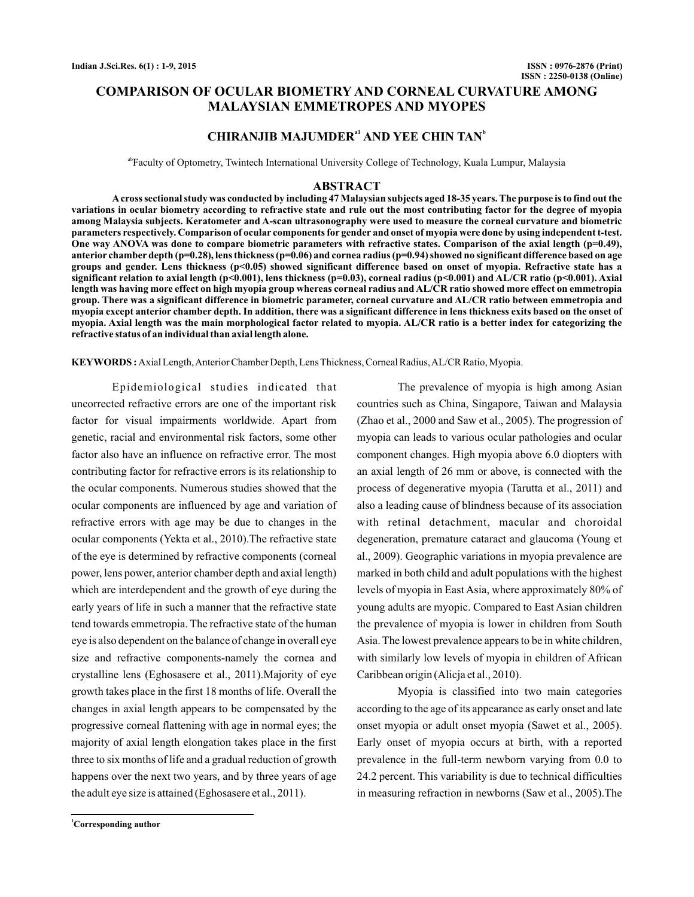# **COMPARISON OF OCULAR BIOMETRY AND CORNEAL CURVATURE AMONG MALAYSIAN EMMETROPES AND MYOPES**

# **CHIRANJIB MAJUMDER<sup>a1</sup> AND YEE CHIN TAN<sup>b</sup>**

<sup>ab</sup>Faculty of Optometry, Twintech International University College of Technology, Kuala Lumpur, Malaysia

#### **ABSTRACT**

**Across sectional study was conducted by including 47 Malaysian subjects aged 18-35 years. The purpose is to find out the variations in ocular biometry according to refractive state and rule out the most contributing factor for the degree of myopia among Malaysia subjects. Keratometer and A-scan ultrasonography were used to measure the corneal curvature and biometric parameters respectively. Comparison of ocular components for gender and onset of myopia were done by using independent t-test. One way ANOVA was done to compare biometric parameters with refractive states. Comparison of the axial length (p=0.49), anterior chamber depth (p=0.28), lens thickness (p=0.06) and cornea radius (p=0.94) showed no significant difference based on age groups and gender. Lens thickness (p<0.05) showed significant difference based on onset of myopia. Refractive state has a significant relation to axial length (p<0.001), lens thickness (p=0.03), corneal radius (p<0.001) and AL/CR ratio (p<0.001). Axial length was having more effect on high myopia group whereas corneal radius and AL/CR ratio showed more effect on emmetropia group. There was a significant difference in biometric parameter, corneal curvature and AL/CR ratio between emmetropia and myopia except anterior chamber depth. In addition, there was a significant difference in lens thickness exits based on the onset of myopia. Axial length was the main morphological factor related to myopia. AL/CR ratio is a better index for categorizing the refractive status of an individual than axial length alone.**

KEYWORDS: Axial Length, Anterior Chamber Depth, Lens Thickness, Corneal Radius, AL/CR Ratio, Myopia.

Epidemiological studies indicated that uncorrected refractive errors are one of the important risk factor for visual impairments worldwide. Apart from genetic, racial and environmental risk factors, some other factor also have an influence on refractive error. The most contributing factor for refractive errors is its relationship to the ocular components. Numerous studies showed that the ocular components are influenced by age and variation of refractive errors with age may be due to changes in the ocular components (Yekta et al., 2010).The refractive state of the eye is determined by refractive components (corneal power, lens power, anterior chamber depth and axial length) which are interdependent and the growth of eye during the early years of life in such a manner that the refractive state tend towards emmetropia. The refractive state of the human eye is also dependent on the balance of change in overall eye size and refractive components-namely the cornea and crystalline lens (Eghosasere et al., 2011).Majority of eye growth takes place in the first 18 months of life. Overall the changes in axial length appears to be compensated by the progressive corneal flattening with age in normal eyes; the majority of axial length elongation takes place in the first three to six months of life and a gradual reduction of growth happens over the next two years, and by three years of age the adult eye size is attained (Eghosasere et al.,  $2011$ ).

The prevalence of myopia is high among Asian countries such as China, Singapore, Taiwan and Malaysia (Zhao et al., 2000 and Saw et al., 2005). The progression of myopia can leads to various ocular pathologies and ocular component changes. High myopia above 6.0 diopters with an axial length of 26 mm or above, is connected with the process of degenerative myopia (Tarutta et al., 2011) and also a leading cause of blindness because of its association with retinal detachment, macular and choroidal degeneration, premature cataract and glaucoma (Young et al., 2009). Geographic variations in myopia prevalence are marked in both child and adult populations with the highest levels of myopia in East Asia, where approximately 80% of young adults are myopic. Compared to East Asian children the prevalence of myopia is lower in children from South Asia. The lowest prevalence appears to be in white children, with similarly low levels of myopia in children of African Caribbean origin (Alicja et al., 2010).

Myopia is classified into two main categories according to the age of its appearance as early onset and late onset myopia or adult onset myopia (Sawet et al., 2005). Early onset of myopia occurs at birth, with a reported prevalence in the full-term newborn varying from 0.0 to 24.2 percent. This variability is due to technical difficulties in measuring refraction in newborns (Saw et al., 2005). The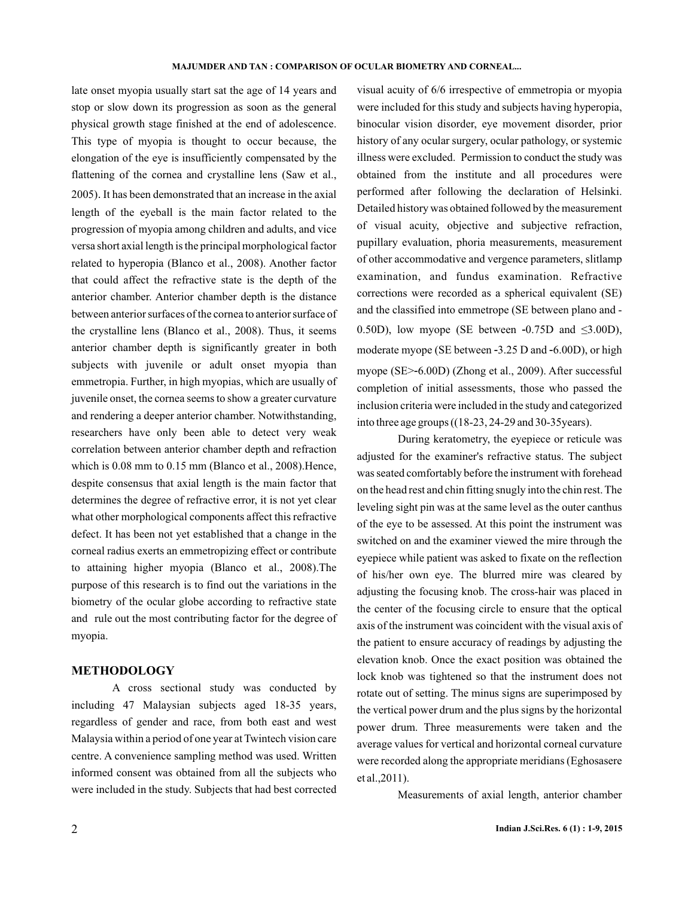late onset myopia usually start sat the age of 14 years and stop or slow down its progression as soon as the general physical growth stage finished at the end of adolescence. This type of myopia is thought to occur because, the elongation of the eye is insufficiently compensated by the flattening of the cornea and crystalline lens (Saw et al., 2005) It has been demonstrated that an increase in the axial . length of the eyeball is the main factor related to the progression of myopia among children and adults, and vice versa short axial length is the principal morphological factor related to hyperopia (Blanco et al., 2008). Another factor that could affect the refractive state is the depth of the anterior chamber. Anterior chamber depth is the distance between anterior surfaces of the cornea to anterior surface of the crystalline lens (Blanco et al., 2008). Thus, it seems anterior chamber depth is significantly greater in both subjects with juvenile or adult onset myopia than emmetropia. Further, in high myopias, which are usually of juvenile onset, the cornea seems to show a greater curvature and rendering a deeper anterior chamber. Notwithstanding, researchers have only been able to detect very weak correlation between anterior chamber depth and refraction which is 0.08 mm to 0.15 mm (Blanco et al., 2008). Hence, despite consensus that axial length is the main factor that determines the degree of refractive error, it is not yet clear what other morphological components affect this refractive defect. It has been not yet established that a change in the corneal radius exerts an emmetropizing effect or contribute to attaining higher myopia (Blanco et al., 2008).The purpose of this research is to find out the variations in the biometry of the ocular globe according to refractive state and rule out the most contributing factor for the degree of myopia.

### **METHODOLOGY**

A cross sectional study was conducted by including 47 Malaysian subjects aged 18-35 years, regardless of gender and race, from both east and west Malaysia within a period of one year at Twintech vision care centre. A convenience sampling method was used. Written informed consent was obtained from all the subjects who were included in the study. Subjects that had best corrected visual acuity of 6/6 irrespective of emmetropia or myopia were included for this study and subjects having hyperopia, binocular vision disorder, eye movement disorder, prior history of any ocular surgery, ocular pathology, or systemic illness were excluded. Permission to conduct the study was obtained from the institute and all procedures were performed after following the declaration of Helsinki. Detailed history was obtained followed by the measurement of visual acuity, objective and subjective refraction, pupillary evaluation, phoria measurements, measurement of other accommodative and vergence parameters, slitlamp examination, and fundus examination. Refractive corrections were recorded as a spherical equivalent (SE) and the classified into emmetrope (SE between plano and - 0.50D), low myope (SE between  $-0.75D$  and  $\leq 3.00D$ ), moderate myope (SE between -3.25 D and -6.00D), or high myope (SE>-6.00D) (Zhong et al., 2009). After successful completion of initial assessments, those who passed the inclusion criteria were included in the study and categorized into three age groups ((18-23, 24-29 and 30-35years).

During keratometry, the eyepiece or reticule was adjusted for the examiner's refractive status. The subject was seated comfortably before the instrument with forehead on the head rest and chin fitting snugly into the chin rest. The leveling sight pin was at the same level as the outer canthus of the eye to be assessed. At this point the instrument was switched on and the examiner viewed the mire through the eyepiece while patient was asked to fixate on the reflection of his/her own eye. The blurred mire was cleared by adjusting the focusing knob. The cross-hair was placed in the center of the focusing circle to ensure that the optical axis of the instrument was coincident with the visual axis of the patient to ensure accuracy of readings by adjusting the elevation knob. Once the exact position was obtained the lock knob was tightened so that the instrument does not rotate out of setting. The minus signs are superimposed by the vertical power drum and the plus signs by the horizontal power drum. Three measurements were taken and the average values for vertical and horizontal corneal curvature were recorded along the appropriate meridians (Eghosasere et al., 2011).

Measurements of axial length, anterior chamber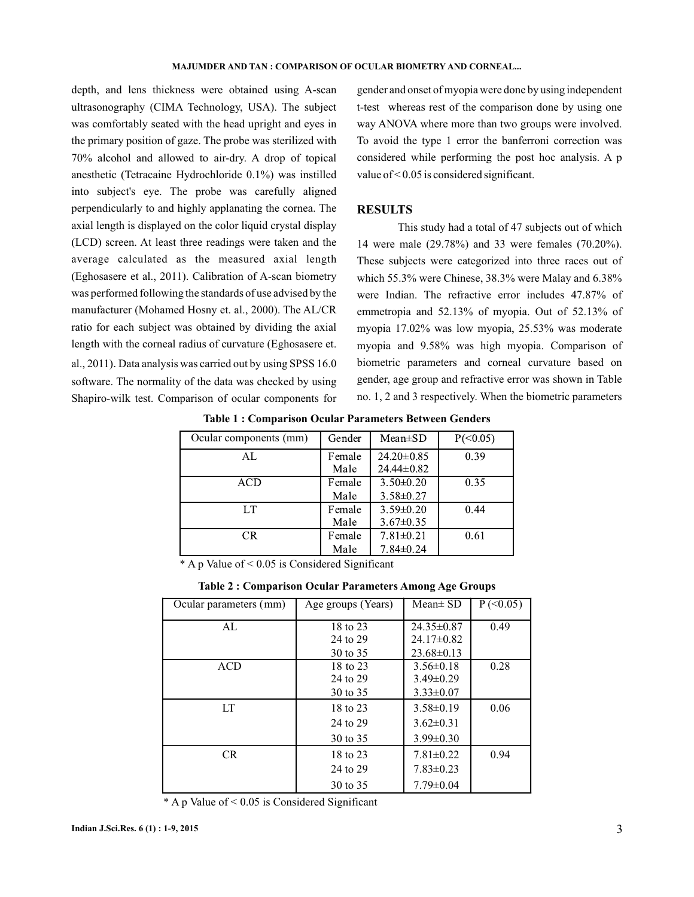#### **MAJUMDER AND TAN : COMPARISON OF OCULAR BIOMETRY AND CORNEAL...**

depth, and lens thickness were obtained using A-scan ultrasonography (CIMA Technology, USA). The subject was comfortably seated with the head upright and eyes in the primary position of gaze. The probe was sterilized with 70% alcohol and allowed to air-dry. A drop of topical anesthetic (Tetracaine Hydrochloride 0.1%) was instilled into subject's eye. The probe was carefully aligned perpendicularly to and highly applanating the cornea. The axial length is displayed on the color liquid crystal display (LCD) screen. At least three readings were taken and the average calculated as the measured axial length (Eghosasere et al., 2011). Calibration of A-scan biometry was performed following the standards of use advised by the manufacturer (Mohamed Hosny et. al., 2000). The AL/CR ratio for each subject was obtained by dividing the axial length with the corneal radius of curvature (Eghosasere et. al., 2011). Data analysis was carried out by using SPSS 16.0 software. The normality of the data was checked by using Shapiro-wilk test. Comparison of ocular components for

gender and onset of myopia were done by using independent t-test whereas rest of the comparison done by using one way ANOVA where more than two groups were involved. To avoid the type 1 error the banferroni correction was considered while performing the post hoc analysis. A p value of < 0.05 is considered significant.

### **RESULTS**

This study had a total of 47 subjects out of which 14 were male (29.78%) and 33 were females (70.20%). These subjects were categorized into three races out of which 55.3% were Chinese, 38.3% were Malay and 6.38% were Indian. The refractive error includes 47.87% of emmetropia and 52.13% of myopia. Out of 52.13% of myopia 17.02% was low myopia, 25.53% was moderate myopia and 9.58% was high myopia. Comparison of biometric parameters and corneal curvature based on gender, age group and refractive error was shown in Table no. 1, 2 and 3 respectively. When the biometric parameters

| Ocular components (mm) | Gender         | $Mean \pm SD$                        | $P(\leq 0.05)$ |
|------------------------|----------------|--------------------------------------|----------------|
| AL                     | Female<br>Male | $24.20 \pm 0.85$<br>$24.44 \pm 0.82$ | 0.39           |
| <b>ACD</b>             | Female<br>Male | $3.50\pm0.20$<br>$3.58 \pm 0.27$     | 0.35           |
| LT.                    | Female<br>Male | $3.59 \pm 0.20$<br>$3.67 \pm 0.35$   | 0.44           |
| CR.                    | Female<br>Male | $7.81 \pm 0.21$<br>$7.84 \pm 0.24$   | 0.61           |

**Table 1 : Comparison Ocular Parameters Between Genders**

\* A p Value of < 0.05 is Considered Significant

| <b>Table 2: Comparison Ocular Parameters Among Age Groups</b> |  |  |
|---------------------------------------------------------------|--|--|
|---------------------------------------------------------------|--|--|

| Ocular parameters (mm) | Age groups (Years) | $Mean \pm SD$   | $P (\leq 0.05)$ |
|------------------------|--------------------|-----------------|-----------------|
| AL                     | 18 to 23           | $24.35\pm0.87$  | 0.49            |
|                        | 24 to 29           | $24.17\pm0.82$  |                 |
|                        | 30 to 35           | $23.68\pm0.13$  |                 |
| <b>ACD</b>             | 18 to 23           | $3.56\pm0.18$   | 0.28            |
|                        | 24 to 29           | $3.49\pm0.29$   |                 |
|                        | 30 to 35           | $3.33 \pm 0.07$ |                 |
| LT.                    | 18 to 23           | $3.58\pm0.19$   | 0.06            |
|                        | 24 to 29           | $3.62\pm0.31$   |                 |
|                        | 30 to 35           | $3.99 \pm 0.30$ |                 |
| <b>CR</b>              | 18 to 23           | $7.81 \pm 0.22$ | 0.94            |
|                        | 24 to 29           | $7.83 \pm 0.23$ |                 |
|                        | 30 to 35           | $7.79 \pm 0.04$ |                 |

\* A p Value of < 0.05 is Considered Significant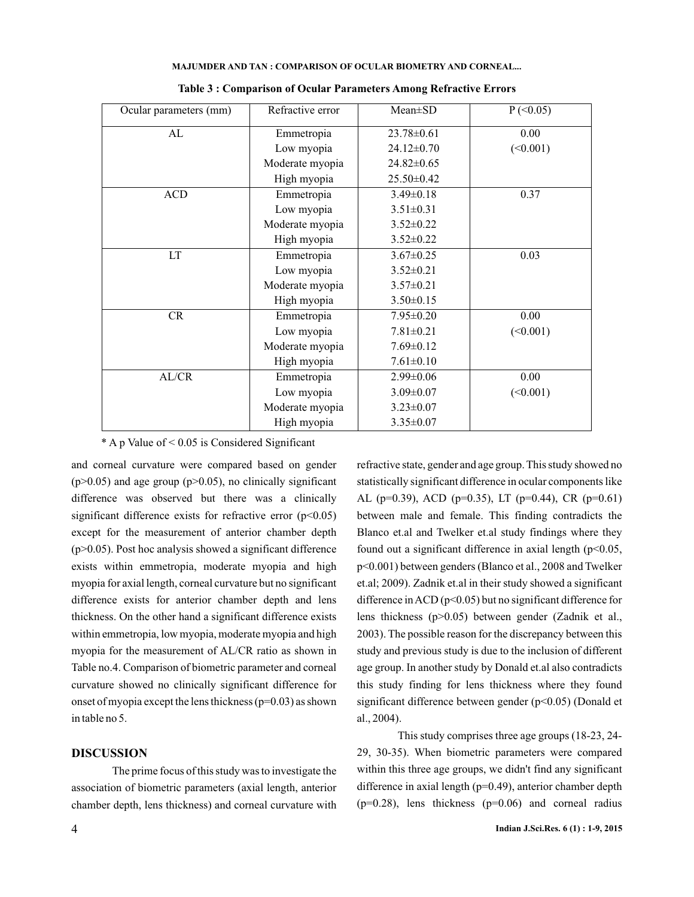| Ocular parameters (mm) | Refractive error | $Mean \pm SD$    | $P$ (<0.05) |
|------------------------|------------------|------------------|-------------|
| AL                     | Emmetropia       | $23.78 \pm 0.61$ | 0.00        |
|                        | Low myopia       | 24.12±0.70       | (<0.001)    |
|                        | Moderate myopia  | $24.82 \pm 0.65$ |             |
|                        | High myopia      | $25.50 \pm 0.42$ |             |
| <b>ACD</b>             | Emmetropia       | $3.49 \pm 0.18$  | 0.37        |
|                        | Low myopia       | $3.51 \pm 0.31$  |             |
|                        | Moderate myopia  | $3.52 \pm 0.22$  |             |
|                        | High myopia      | $3.52 \pm 0.22$  |             |
| LT                     | Emmetropia       | $3.67 \pm 0.25$  | 0.03        |
|                        | Low myopia       | $3.52 \pm 0.21$  |             |
|                        | Moderate myopia  | $3.57 \pm 0.21$  |             |
|                        | High myopia      | $3.50 \pm 0.15$  |             |
| CR                     | Emmetropia       | $7.95 \pm 0.20$  | 0.00        |
|                        | Low myopia       | $7.81 \pm 0.21$  | (<0.001)    |
|                        | Moderate myopia  | $7.69 \pm 0.12$  |             |
|                        | High myopia      | $7.61 \pm 0.10$  |             |
| AL/CR                  | Emmetropia       | $2.99 \pm 0.06$  | 0.00        |
|                        | Low myopia       | $3.09 \pm 0.07$  | (<0.001)    |
|                        | Moderate myopia  | $3.23 \pm 0.07$  |             |
|                        | High myopia      | $3.35 \pm 0.07$  |             |

**MAJUMDER AND TAN : COMPARISON OF OCULAR BIOMETRY AND CORNEAL...**

|  | Table 3 : Comparison of Ocular Parameters Among Refractive Errors |
|--|-------------------------------------------------------------------|
|--|-------------------------------------------------------------------|

\* A p Value of < 0.05 is Considered Significant

and corneal curvature were compared based on gender  $(p>0.05)$  and age group  $(p>0.05)$ , no clinically significant difference was observed but there was a clinically significant difference exists for refractive error  $(p<0.05)$ except for the measurement of anterior chamber depth  $(p>0.05)$ . Post hoc analysis showed a significant difference exists within emmetropia, moderate myopia and high myopia for axial length, corneal curvature but no significant difference exists for anterior chamber depth and lens thickness. On the other hand a significant difference exists within emmetropia, low myopia, moderate myopia and high myopia for the measurement of AL/CR ratio as shown in Table no.4. Comparison of biometric parameter and corneal curvature showed no clinically significant difference for onset of myopia except the lens thickness ( $p=0.03$ ) as shown in table no 5.

## **DISCUSSION**

The prime focus of this study was to investigate the association of biometric parameters (axial length, anterior chamber depth, lens thickness) and corneal curvature with

refractive state, gender and age group. This study showed no statistically significant difference in ocular components like AL (p=0.39), ACD (p=0.35), LT (p=0.44), CR (p=0.61) between male and female. This finding contradicts the Blanco et.al and Twelker et.al study findings where they found out a significant difference in axial length  $(p<0.05$ , p<0.001) between genders (Blanco et al., 2008 and Twelker et.al; 2009). Zadnik et.al in their study showed a significant difference in ACD ( $p<0.05$ ) but no significant difference for lens thickness (p>0.05) between gender (Zadnik et al., 2003). The possible reason for the discrepancy between this study and previous study is due to the inclusion of different age group. In another study by Donald et.al also contradicts this study finding for lens thickness where they found significant difference between gender (p<0.05) (Donald et 2004). al.,

This study comprises three age groups (18-23, 24- 29, 30-35). When biometric parameters were compared within this three age groups, we didn't find any significant difference in axial length (p=0.49), anterior chamber depth  $(p=0.28)$ , lens thickness  $(p=0.06)$  and corneal radius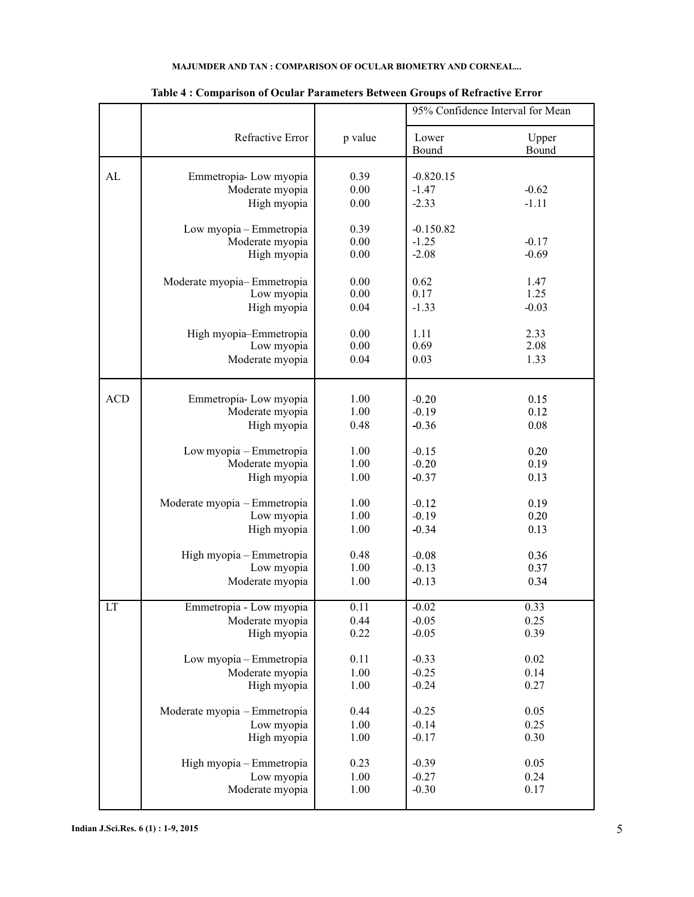## **MAJUMDER AND TAN : COMPARISON OF OCULAR BIOMETRY AND CORNEAL...**

|            |                                                           |                      |                                   | 95% Confidence Interval for Mean |
|------------|-----------------------------------------------------------|----------------------|-----------------------------------|----------------------------------|
|            | Refractive Error                                          | p value              | Lower<br>Bound                    | Upper<br>Bound                   |
| AL         | Emmetropia-Low myopia<br>Moderate myopia<br>High myopia   | 0.39<br>0.00<br>0.00 | $-0.820.15$<br>$-1.47$<br>$-2.33$ | $-0.62$<br>$-1.11$               |
|            | Low myopia - Emmetropia<br>Moderate myopia<br>High myopia | 0.39<br>0.00<br>0.00 | $-0.150.82$<br>$-1.25$<br>$-2.08$ | $-0.17$<br>$-0.69$               |
|            | Moderate myopia-Emmetropia                                | 0.00                 | 0.62                              | 1.47                             |
|            | Low myopia                                                | 0.00                 | 0.17                              | 1.25                             |
|            | High myopia                                               | 0.04                 | $-1.33$                           | $-0.03$                          |
|            | High myopia-Emmetropia                                    | 0.00                 | 1.11                              | 2.33                             |
|            | Low myopia                                                | 0.00                 | 0.69                              | 2.08                             |
|            | Moderate myopia                                           | 0.04                 | 0.03                              | 1.33                             |
| <b>ACD</b> | Emmetropia-Low myopia                                     | 1.00                 | $-0.20$                           | 0.15                             |
|            | Moderate myopia                                           | 1.00                 | $-0.19$                           | 0.12                             |
|            | High myopia                                               | 0.48                 | $-0.36$                           | 0.08                             |
|            | Low myopia - Emmetropia                                   | 1.00                 | $-0.15$                           | 0.20                             |
|            | Moderate myopia                                           | 1.00                 | $-0.20$                           | 0.19                             |
|            | High myopia                                               | 1.00                 | $-0.37$                           | 0.13                             |
|            | Moderate myopia - Emmetropia                              | 1.00                 | $-0.12$                           | 0.19                             |
|            | Low myopia                                                | 1.00                 | $-0.19$                           | 0.20                             |
|            | High myopia                                               | 1.00                 | $-0.34$                           | 0.13                             |
|            | High myopia - Emmetropia                                  | 0.48                 | $-0.08$                           | 0.36                             |
|            | Low myopia                                                | 1.00                 | $-0.13$                           | 0.37                             |
|            | Moderate myopia                                           | 1.00                 | $-0.13$                           | 0.34                             |
| LT         | Emmetropia - Low myopia                                   | 0.11                 | $-0.02$                           | 0.33                             |
|            | Moderate myopia                                           | 0.44                 | $-0.05$                           | 0.25                             |
|            | High myopia                                               | 0.22                 | $-0.05$                           | 0.39                             |
|            | Low myopia - Emmetropia                                   | 0.11                 | $-0.33$                           | 0.02                             |
|            | Moderate myopia                                           | 1.00                 | $-0.25$                           | 0.14                             |
|            | High myopia                                               | 1.00                 | $-0.24$                           | 0.27                             |
|            | Moderate myopia - Emmetropia                              | 0.44                 | $-0.25$                           | 0.05                             |
|            | Low myopia                                                | 1.00                 | $-0.14$                           | 0.25                             |
|            | High myopia                                               | 1.00                 | $-0.17$                           | 0.30                             |
|            | High myopia - Emmetropia                                  | 0.23                 | $-0.39$                           | 0.05                             |
|            | Low myopia                                                | 1.00                 | $-0.27$                           | 0.24                             |
|            | Moderate myopia                                           | 1.00                 | $-0.30$                           | 0.17                             |

## **Table 4 : Comparison of Ocular Parameters Between Groups of Refractive Error**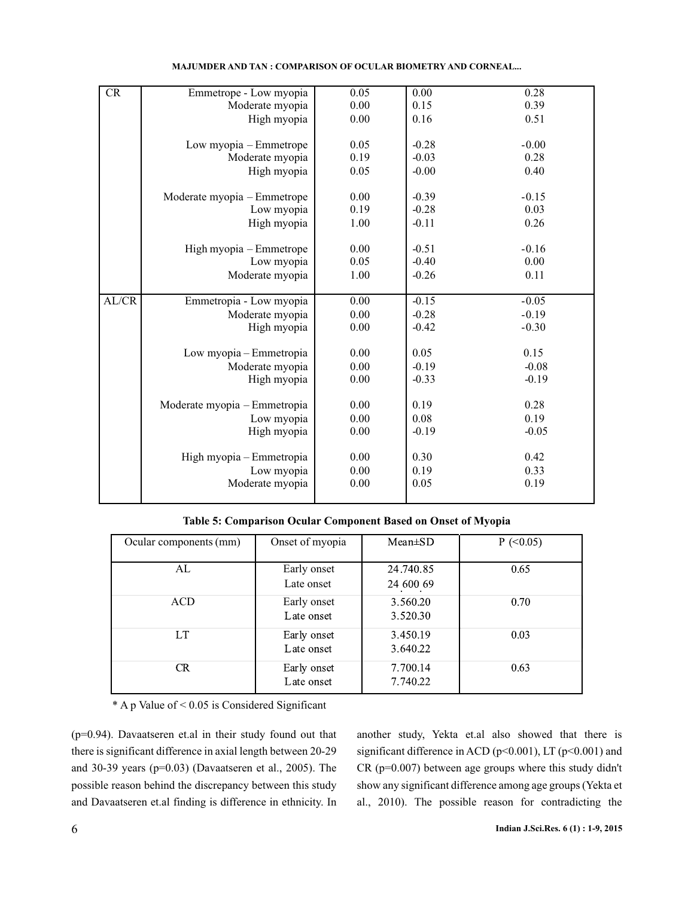| CR    | Emmetrope - Low myopia       | 0.05 | 0.00    | 0.28    |
|-------|------------------------------|------|---------|---------|
|       | Moderate myopia              | 0.00 | 0.15    | 0.39    |
|       | High myopia                  | 0.00 | 0.16    | 0.51    |
|       |                              |      |         |         |
|       | Low myopia – Emmetrope       | 0.05 | $-0.28$ | $-0.00$ |
|       | Moderate myopia              | 0.19 | $-0.03$ | 0.28    |
|       | High myopia                  | 0.05 | $-0.00$ | 0.40    |
|       |                              |      |         |         |
|       | Moderate myopia - Emmetrope  | 0.00 | $-0.39$ | $-0.15$ |
|       | Low myopia                   | 0.19 | $-0.28$ | 0.03    |
|       | High myopia                  | 1.00 | $-0.11$ | 0.26    |
|       |                              |      |         |         |
|       | High myopia - Emmetrope      | 0.00 | $-0.51$ | $-0.16$ |
|       | Low myopia                   | 0.05 | $-0.40$ | 0.00    |
|       | Moderate myopia              | 1.00 | $-0.26$ | 0.11    |
|       |                              |      |         |         |
|       |                              |      |         |         |
| AL/CR | Emmetropia - Low myopia      | 0.00 | $-0.15$ | $-0.05$ |
|       | Moderate myopia              | 0.00 | $-0.28$ | $-0.19$ |
|       | High myopia                  | 0.00 | $-0.42$ | $-0.30$ |
|       |                              |      |         |         |
|       | Low myopia – Emmetropia      | 0.00 | 0.05    | 0.15    |
|       | Moderate myopia              | 0.00 | $-0.19$ | $-0.08$ |
|       | High myopia                  | 0.00 | $-0.33$ | $-0.19$ |
|       |                              |      |         |         |
|       | Moderate myopia - Emmetropia | 0.00 | 0.19    | 0.28    |
|       | Low myopia                   | 0.00 | 0.08    | 0.19    |
|       | High myopia                  | 0.00 | $-0.19$ | $-0.05$ |
|       |                              |      |         |         |
|       | High myopia - Emmetropia     | 0.00 | 0.30    | 0.42    |
|       | Low myopia                   | 0.00 | 0.19    | 0.33    |
|       | Moderate myopia              | 0.00 | 0.05    | 0.19    |

|  |  |  | <b>MAJUMDER AND TAN : COMPARISON OF OCULAR BIOMETRY AND CORNEAL</b> |
|--|--|--|---------------------------------------------------------------------|
|--|--|--|---------------------------------------------------------------------|

**Table 5: Comparison Ocular Component Based on Onset of Myopia**

| Ocular components (mm) | Onset of myopia | $Mean \pm SD$ | $P$ (<0.05) |
|------------------------|-----------------|---------------|-------------|
|                        |                 |               |             |
| AL                     | Early onset     | 24.740.85     | 0.65        |
|                        | Late onset      | 24 600 69     |             |
| ACD                    | Early onset     | 3.560.20      | 0.70        |
|                        | Late onset      | 3.520.30      |             |
| LT                     | Early onset     | 3.450.19      | 0.03        |
|                        | Late onset      | 3.640.22      |             |
| CR.                    | Early onset     | 7.700.14      | 0.63        |
|                        | Late onset      | 7.740.22      |             |

\* A p Value of < 0.05 is Considered Significant

(p=0.94). Davaatseren et.al in their study found out that there is significant difference in axial length between 20-29 and 30-39 years  $(p=0.03)$  (Davaatseren et al., 2005). The possible reason behind the discrepancy between this study and Davaatseren et.al finding is difference in ethnicity. In

another study, Yekta et.al also showed that there is significant difference in ACD (p<0.001), LT (p<0.001) and CR (p=0.007) between age groups where this study didn't show any significant difference among age groups (Yekta et 2010). The possible reason for contradicting the al.,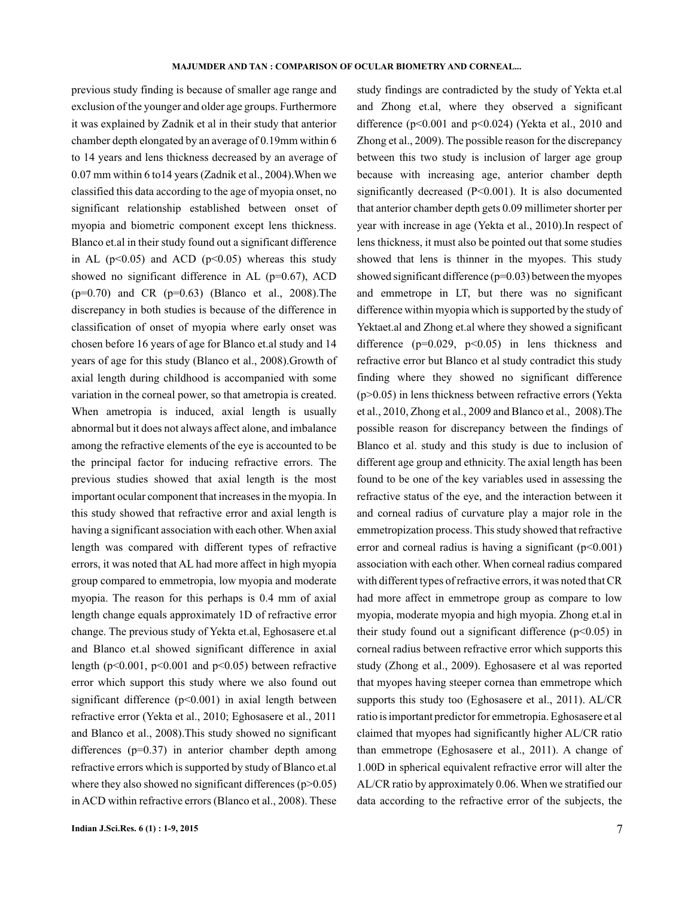previous study finding is because of smaller age range and exclusion of the younger and older age groups. Furthermore it was explained by Zadnik et al in their study that anterior chamber depth elongated by an average of 0.19mm within 6 to 14 years and lens thickness decreased by an average of 0.07 mm within 6 to14 years (Zadnik et al., 2004).When we classified this data according to the age of myopia onset, no significant relationship established between onset of myopia and biometric component except lens thickness. Blanco et.al in their study found out a significant difference in AL ( $p<0.05$ ) and ACD ( $p<0.05$ ) whereas this study showed no significant difference in AL (p=0.67), ACD  $(p=0.70)$  and CR  $(p=0.63)$  (Blanco et al., 2008). The discrepancy in both studies is because of the difference in classification of onset of myopia where early onset was chosen before 16 years of age for Blanco et.al study and 14 years of age for this study (Blanco et al., 2008).Growth of axial length during childhood is accompanied with some variation in the corneal power, so that ametropia is created. When ametropia is induced, axial length is usually abnormal but it does not always affect alone, and imbalance among the refractive elements of the eye is accounted to be the principal factor for inducing refractive errors. The previous studies showed that axial length is the most important ocular component that increases in the myopia. In this study showed that refractive error and axial length is having a significant association with each other. When axial length was compared with different types of refractive errors, it was noted that AL had more affect in high myopia group compared to emmetropia, low myopia and moderate myopia. The reason for this perhaps is 0.4 mm of axial length change equals approximately 1D of refractive error change. The previous study of Yekta et.al, Eghosasere et.al and Blanco et.al showed significant difference in axial length ( $p<0.001$ ,  $p<0.001$  and  $p<0.05$ ) between refractive error which support this study where we also found out significant difference  $(p<0.001)$  in axial length between refractive error (Yekta et al., 2010; Eghosasere et al., 2011 and Blanco et al., 2008).This study showed no significant differences (p=0.37) in anterior chamber depth among refractive errors which is supported by study of Blanco et.al where they also showed no significant differences  $(p>0.05)$ in ACD within refractive errors (Blanco et al., 2008). These

study findings are contradicted by the study of Yekta et.al and Zhong et.al, where they observed a significant difference ( $p<0.001$  and  $p<0.024$ ) (Yekta et al., 2010 and Zhong et al., 2009). The possible reason for the discrepancy between this two study is inclusion of larger age group because with increasing age, anterior chamber depth significantly decreased (P<0.001). It is also documented that anterior chamber depth gets 0.09 millimeter shorter per year with increase in age (Yekta et al., 2010). In respect of lens thickness, it must also be pointed out that some studies showed that lens is thinner in the myopes. This study showed significant difference  $(p=0.03)$  between the myopes and emmetrope in LT, but there was no significant difference within myopia which is supported by the study of Yektaet.al and Zhong et.al where they showed a significant difference  $(p=0.029, p<0.05)$  in lens thickness and refractive error but Blanco et al study contradict this study finding where they showed no significant difference (p>0.05) in lens thickness between refractive errors (Yekta et al., 2010, Zhong et al., 2009 and Blanco et al., 2008).The possible reason for discrepancy between the findings of Blanco et al. study and this study is due to inclusion of different age group and ethnicity. The axial length has been found to be one of the key variables used in assessing the refractive status of the eye, and the interaction between it and corneal radius of curvature play a major role in the emmetropization process. This study showed that refractive error and corneal radius is having a significant  $(p<0.001)$ association with each other. When corneal radius compared with different types of refractive errors, it was noted that CR had more affect in emmetrope group as compare to low myopia, moderate myopia and high myopia. Zhong et.al in their study found out a significant difference  $(p<0.05)$  in corneal radius between refractive error which supports this study (Zhong et al., 2009). Eghosasere et al was reported that myopes having steeper cornea than emmetrope which supports this study too (Eghosasere et al., 2011). AL/CR ratio is important predictor for emmetropia. Eghosasere et al claimed that myopes had significantly higher AL/CR ratio than emmetrope (Eghosasere et al., 2011). A change of 1.00D in spherical equivalent refractive error will alter the AL/CR ratio by approximately 0.06. When we stratified our data according to the refractive error of the subjects, the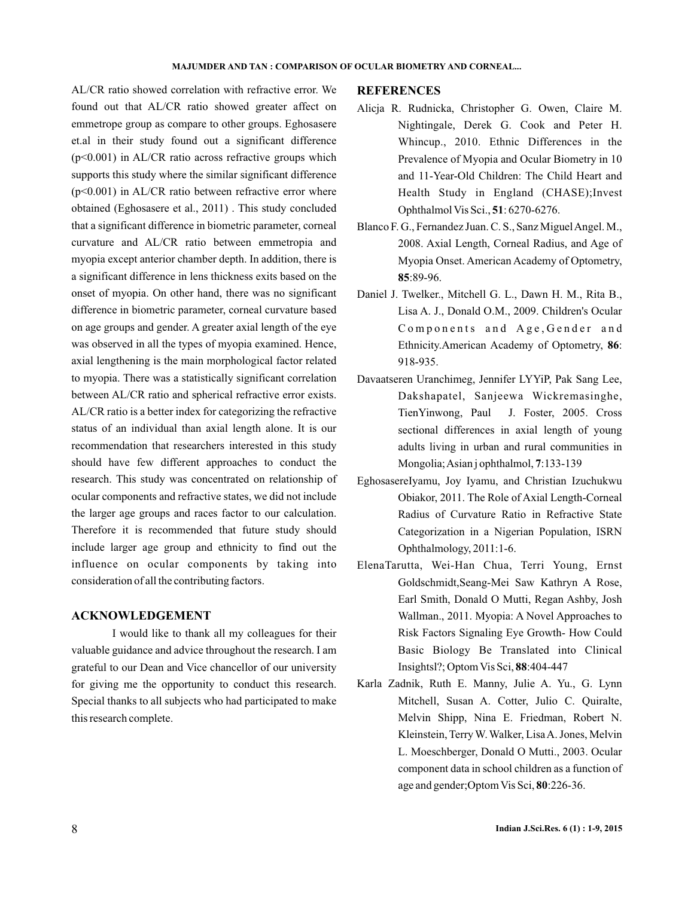AL/CR ratio showed correlation with refractive error. We found out that AL/CR ratio showed greater affect on emmetrope group as compare to other groups. Eghosasere et.al in their study found out a significant difference  $(p<0.001)$  in AL/CR ratio across refractive groups which supports this study where the similar significant difference  $(p<0.001)$  in AL/CR ratio between refractive error where obtained (Eghosasere et al., 2011). This study concluded that a significant difference in biometric parameter, corneal curvature and AL/CR ratio between emmetropia and myopia except anterior chamber depth. In addition, there is a significant difference in lens thickness exits based on the onset of myopia. On other hand, there was no significant difference in biometric parameter, corneal curvature based on age groups and gender. A greater axial length of the eye was observed in all the types of myopia examined. Hence, axial lengthening is the main morphological factor related to myopia. There was a statistically significant correlation between AL/CR ratio and spherical refractive error exists. AL/CR ratio is a better index for categorizing the refractive status of an individual than axial length alone. It is our recommendation that researchers interested in this study should have few different approaches to conduct the research. This study was concentrated on relationship of ocular components and refractive states, we did not include the larger age groups and races factor to our calculation. Therefore it is recommended that future study should include larger age group and ethnicity to find out the influence on ocular components by taking into consideration of all the contributing factors.

## **ACKNOWLEDGEMENT**

I would like to thank all my colleagues for their valuable guidance and advice throughout the research. I am grateful to our Dean and Vice chancellor of our university for giving me the opportunity to conduct this research. Special thanks to all subjects who had participated to make this research complete.

#### **REFERENCES**

- Alicja R. Rudnicka, Christopher G. Owen, Claire M. Nightingale, Derek G. Cook and Peter H. Whincup., 2010. Ethnic Differences in the Prevalence of Myopia and Ocular Biometry in 10 and 11-Year-Old Children: The Child Heart and Health Study in England (CHASE);Invest Ophthalmol Vis Sci., 51: 6270-6276.
- Blanco F. G., Fernandez Juan. C. S., Sanz Miguel Angel. M., 2008. Axial Length, Corneal Radius, and Age of Myopia Onset. American Academy of Optometry, :89-96. **85**
- Daniel J. Twelker., Mitchell G. L., Dawn H. M., Rita B., Lisa A. J., Donald O.M., 2009. Children's Ocular Components and Age, Gender and Ethnicity.American Academy of Optometry, 86: 918-935.
- Davaatseren Uranchimeg, Jennifer LYYiP, Pak Sang Lee, Dakshapatel, Sanjeewa Wickremasinghe, TienYinwong, Paul J. Foster, 2005. Cross sectional differences in axial length of young adults living in urban and rural communities in Mongolia; Asian j ophthalmol, 7:133-139
- EghosasereIyamu, Joy Iyamu, and Christian Izuchukwu Obiakor, 2011. The Role of Axial Length-Corneal Radius of Curvature Ratio in Refractive State Categorization in a Nigerian Population, ISRN Ophthalmology, 2011:1-6.
- ElenaTarutta, Wei-Han Chua, Terri Young, Ernst Goldschmidt,Seang-Mei Saw Kathryn A Rose, Earl Smith, Donald O Mutti, Regan Ashby, Josh Wallman., 2011. Myopia: A Novel Approaches to Risk Factors Signaling Eye Growth- How Could Basic Biology Be Translated into Clinical Insightsl?; Optom Vis Sci, 88:404-447
- Karla Zadnik, Ruth E. Manny, Julie A. Yu., G. Lynn Mitchell, Susan A. Cotter, Julio C. Quiralte, Melvin Shipp, Nina E. Friedman, Robert N. Kleinstein, Terry W. Walker, LisaA. Jones, Melvin L. Moeschberger, Donald O Mutti., 2003. Ocular component data in school children as a function of age and gender; Optom Vis Sci, 80:226-36.